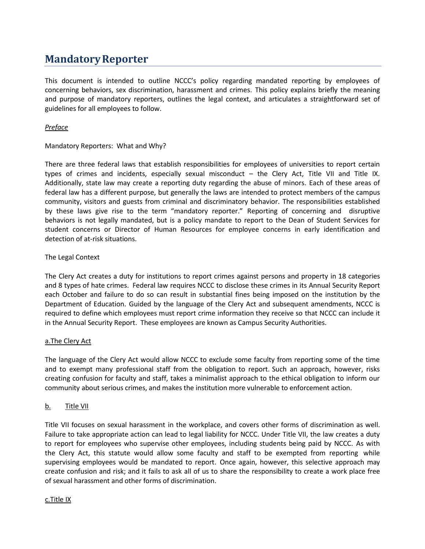# **MandatoryReporter**

This document is intended to outline NCCC's policy regarding mandated reporting by employees of concerning behaviors, sex discrimination, harassment and crimes. This policy explains briefly the meaning and purpose of mandatory reporters, outlines the legal context, and articulates a straightforward set of guidelines for all employees to follow.

# *Preface*

# Mandatory Reporters: What and Why?

There are three federal laws that establish responsibilities for employees of universities to report certain types of crimes and incidents, especially sexual misconduct – the Clery Act, Title VII and Title IX. Additionally, state law may create a reporting duty regarding the abuse of minors. Each of these areas of federal law has a different purpose, but generally the laws are intended to protect members of the campus community, visitors and guests from criminal and discriminatory behavior. The responsibilities established by these laws give rise to the term "mandatory reporter." Reporting of concerning and disruptive behaviors is not legally mandated, but is a policy mandate to report to the Dean of Student Services for student concerns or Director of Human Resources for employee concerns in early identification and detection of at-risk situations.

# The Legal Context

The Clery Act creates a duty for institutions to report crimes against persons and property in 18 categories and 8 types of hate crimes. Federal law requires NCCC to disclose these crimes in its Annual Security Report each October and failure to do so can result in substantial fines being imposed on the institution by the Department of Education. Guided by the language of the Clery Act and subsequent amendments, NCCC is required to define which employees must report crime information they receive so that NCCC can include it in the Annual Security Report. These employees are known as Campus Security Authorities.

## a.The Clery Act

The language of the Clery Act would allow NCCC to exclude some faculty from reporting some of the time and to exempt many professional staff from the obligation to report. Such an approach, however, risks creating confusion for faculty and staff, takes a minimalist approach to the ethical obligation to inform our community about serious crimes, and makes the institution more vulnerable to enforcement action.

# b. Title VII

Title VII focuses on sexual harassment in the workplace, and covers other forms of discrimination as well. Failure to take appropriate action can lead to legal liability for NCCC. Under Title VII, the law creates a duty to report for employees who supervise other employees, including students being paid by NCCC. As with the Clery Act, this statute would allow some faculty and staff to be exempted from reporting while supervising employees would be mandated to report. Once again, however, this selective approach may create confusion and risk; and it fails to ask all of us to share the responsibility to create a work place free of sexual harassment and other forms of discrimination.

#### c.Title IX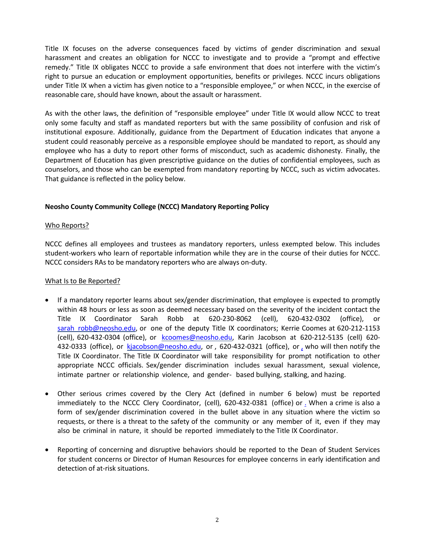Title IX focuses on the adverse consequences faced by victims of gender discrimination and sexual harassment and creates an obligation for NCCC to investigate and to provide a "prompt and effective remedy." Title IX obligates NCCC to provide a safe environment that does not interfere with the victim's right to pursue an education or employment opportunities, benefits or privileges. NCCC incurs obligations under Title IX when a victim has given notice to a "responsible employee," or when NCCC, in the exercise of reasonable care, should have known, about the assault or harassment.

As with the other laws, the definition of "responsible employee" under Title IX would allow NCCC to treat only some faculty and staff as mandated reporters but with the same possibility of confusion and risk of institutional exposure. Additionally, guidance from the Department of Education indicates that anyone a student could reasonably perceive as a responsible employee should be mandated to report, as should any employee who has a duty to report other forms of misconduct, such as academic dishonesty. Finally, the Department of Education has given prescriptive guidance on the duties of confidential employees, such as counselors, and those who can be exempted from mandatory reporting by NCCC, such as victim advocates. That guidance is reflected in the policy below.

## **Neosho County Community College (NCCC) Mandatory Reporting Policy**

## Who Reports?

NCCC defines all employees and trustees as mandatory reporters, unless exempted below. This includes student-workers who learn of reportable information while they are in the course of their duties for NCCC. NCCC considers RAs to be mandatory reporters who are always on-duty.

## What Is to Be Reported?

- If a mandatory reporter learns about sex/gender discrimination, that employee is expected to promptly within 48 hours or less as soon as deemed necessary based on the severity of the incident contact the Title IX Coordinator Sarah Robb at 620-230-8062 (cell), 620-432-0302 (office), or [sarah\\_robb@neosho.edu,](mailto:sarah_robb@neosho.edu) or one of the deputy Title IX coordinators; Kerrie Coomes at 620-212-1153 (cell), 620-432-0304 (office), or [kcoomes@neosho.edu,](mailto:kcoomes@neosho.edu) Karin Jacobson at 620-212-5135 (cell) 620 432-0333 (office), or [kjacobson@neosho.edu,](mailto:kjacobson@neosho.edu) or, 620-432-0321 (office), or, who will then notify the Title IX Coordinator. The Title IX Coordinator will take responsibility for prompt notification to other appropriate NCCC officials. Sex/gender discrimination includes sexual harassment, sexual violence, intimate partner or relationship violence, and gender- based bullying, stalking, and hazing.
- Other serious crimes covered by the Clery Act (defined in number 6 below) must be reported immediately to the NCCC Clery Coordinator, (cell), 620-432-0381 (office) or [.](mailto:.) When a crime is also a form of sex/gender discrimination covered in the bullet above in any situation where the victim so requests, or there is a threat to the safety of the community or any member of it, even if they may also be criminal in nature, it should be reported immediately to the Title IX Coordinator.
- Reporting of concerning and disruptive behaviors should be reported to the Dean of Student Services for student concerns or Director of Human Resources for employee concerns in early identification and detection of at-risk situations.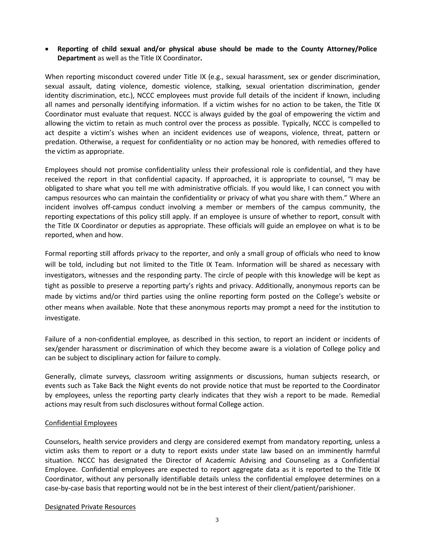# **Reporting of child sexual and/or physical abuse should be made to the County Attorney/Police Department** as well as the Title IX Coordinator**.**

When reporting misconduct covered under Title IX (e.g., sexual harassment, sex or gender discrimination, sexual assault, dating violence, domestic violence, stalking, sexual orientation discrimination, gender identity discrimination, etc.), NCCC employees must provide full details of the incident if known, including all names and personally identifying information. If a victim wishes for no action to be taken, the Title IX Coordinator must evaluate that request. NCCC is always guided by the goal of empowering the victim and allowing the victim to retain as much control over the process as possible. Typically, NCCC is compelled to act despite a victim's wishes when an incident evidences use of weapons, violence, threat, pattern or predation. Otherwise, a request for confidentiality or no action may be honored, with remedies offered to the victim as appropriate.

Employees should not promise confidentiality unless their professional role is confidential, and they have received the report in that confidential capacity. If approached, it is appropriate to counsel, "I may be obligated to share what you tell me with administrative officials. If you would like, I can connect you with campus resources who can maintain the confidentiality or privacy of what you share with them." Where an incident involves off-campus conduct involving a member or members of the campus community, the reporting expectations of this policy still apply. If an employee is unsure of whether to report, consult with the Title IX Coordinator or deputies as appropriate. These officials will guide an employee on what is to be reported, when and how.

Formal reporting still affords privacy to the reporter, and only a small group of officials who need to know will be told, including but not limited to the Title IX Team. Information will be shared as necessary with investigators, witnesses and the responding party. The circle of people with this knowledge will be kept as tight as possible to preserve a reporting party's rights and privacy. Additionally, anonymous reports can be made by victims and/or third parties using the online reporting form posted on the College's website or other means when available. Note that these anonymous reports may prompt a need for the institution to investigate.

Failure of a non-confidential employee, as described in this section, to report an incident or incidents of sex/gender harassment or discrimination of which they become aware is a violation of College policy and can be subject to disciplinary action for failure to comply.

Generally, climate surveys, classroom writing assignments or discussions, human subjects research, or events such as Take Back the Night events do not provide notice that must be reported to the Coordinator by employees, unless the reporting party clearly indicates that they wish a report to be made. Remedial actions may result from such disclosures without formal College action.

## Confidential Employees

Counselors, health service providers and clergy are considered exempt from mandatory reporting, unless a victim asks them to report or a duty to report exists under state law based on an imminently harmful situation. NCCC has designated the Director of Academic Advising and Counseling as a Confidential Employee. Confidential employees are expected to report aggregate data as it is reported to the Title IX Coordinator, without any personally identifiable details unless the confidential employee determines on a case-by-case basis that reporting would not be in the best interest of their client/patient/parishioner.

#### Designated Private Resources